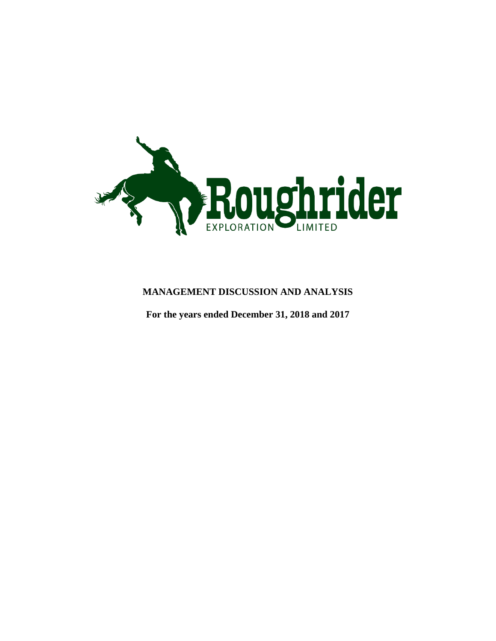

# **MANAGEMENT DISCUSSION AND ANALYSIS**

**For the years ended December 31, 2018 and 2017**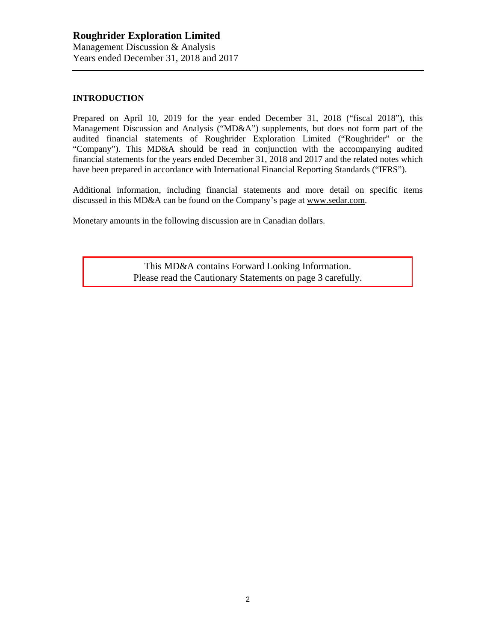## **INTRODUCTION**

Prepared on April 10, 2019 for the year ended December 31, 2018 ("fiscal 2018"), this Management Discussion and Analysis ("MD&A") supplements, but does not form part of the audited financial statements of Roughrider Exploration Limited ("Roughrider" or the "Company"). This MD&A should be read in conjunction with the accompanying audited financial statements for the years ended December 31, 2018 and 2017 and the related notes which have been prepared in accordance with International Financial Reporting Standards ("IFRS").

Additional information, including financial statements and more detail on specific items discussed in this MD&A can be found on the Company's page at [www.sedar.com.](http://www.sedar.com/)

Monetary amounts in the following discussion are in Canadian dollars.

This MD&A contains Forward Looking Information. Please read the Cautionary Statements on page 3 carefully.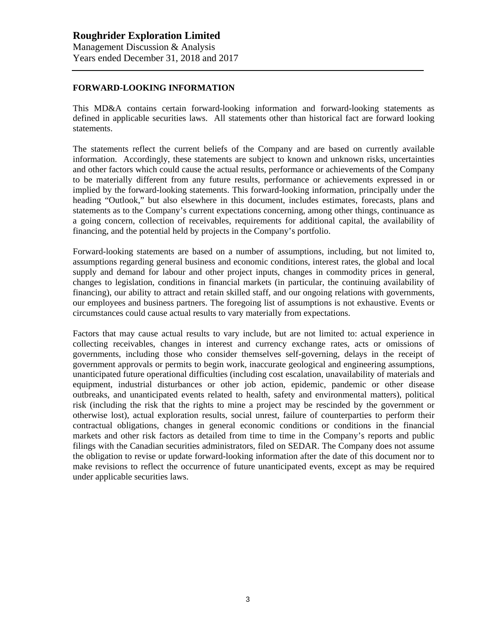### **FORWARD-LOOKING INFORMATION**

This MD&A contains certain forward-looking information and forward-looking statements as defined in applicable securities laws. All statements other than historical fact are forward looking statements.

The statements reflect the current beliefs of the Company and are based on currently available information. Accordingly, these statements are subject to known and unknown risks, uncertainties and other factors which could cause the actual results, performance or achievements of the Company to be materially different from any future results, performance or achievements expressed in or implied by the forward-looking statements. This forward-looking information, principally under the heading "Outlook," but also elsewhere in this document, includes estimates, forecasts, plans and statements as to the Company's current expectations concerning, among other things, continuance as a going concern, collection of receivables, requirements for additional capital, the availability of financing, and the potential held by projects in the Company's portfolio.

Forward-looking statements are based on a number of assumptions, including, but not limited to, assumptions regarding general business and economic conditions, interest rates, the global and local supply and demand for labour and other project inputs, changes in commodity prices in general, changes to legislation, conditions in financial markets (in particular, the continuing availability of financing), our ability to attract and retain skilled staff, and our ongoing relations with governments, our employees and business partners. The foregoing list of assumptions is not exhaustive. Events or circumstances could cause actual results to vary materially from expectations.

Factors that may cause actual results to vary include, but are not limited to: actual experience in collecting receivables, changes in interest and currency exchange rates, acts or omissions of governments, including those who consider themselves self-governing, delays in the receipt of government approvals or permits to begin work, inaccurate geological and engineering assumptions, unanticipated future operational difficulties (including cost escalation, unavailability of materials and equipment, industrial disturbances or other job action, epidemic, pandemic or other disease outbreaks, and unanticipated events related to health, safety and environmental matters), political risk (including the risk that the rights to mine a project may be rescinded by the government or otherwise lost), actual exploration results, social unrest, failure of counterparties to perform their contractual obligations, changes in general economic conditions or conditions in the financial markets and other risk factors as detailed from time to time in the Company's reports and public filings with the Canadian securities administrators, filed on SEDAR. The Company does not assume the obligation to revise or update forward-looking information after the date of this document nor to make revisions to reflect the occurrence of future unanticipated events, except as may be required under applicable securities laws.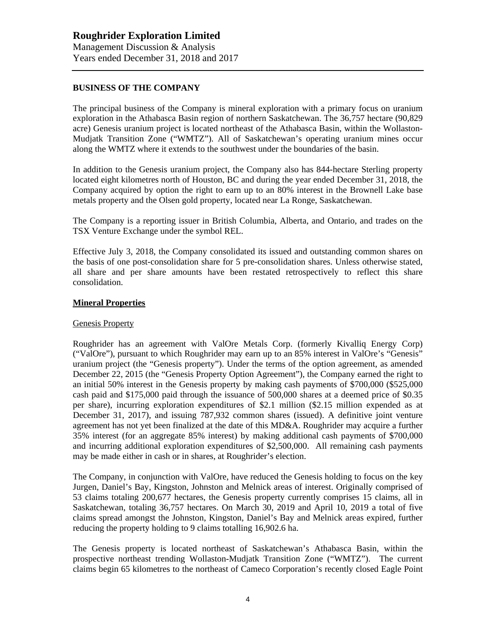## **BUSINESS OF THE COMPANY**

The principal business of the Company is mineral exploration with a primary focus on uranium exploration in the Athabasca Basin region of northern Saskatchewan. The 36,757 hectare (90,829 acre) Genesis uranium project is located northeast of the Athabasca Basin, within the Wollaston-Mudjatk Transition Zone ("WMTZ"). All of Saskatchewan's operating uranium mines occur along the WMTZ where it extends to the southwest under the boundaries of the basin.

In addition to the Genesis uranium project, the Company also has 844-hectare Sterling property located eight kilometres north of Houston, BC and during the year ended December 31, 2018, the Company acquired by option the right to earn up to an 80% interest in the Brownell Lake base metals property and the Olsen gold property, located near La Ronge, Saskatchewan.

The Company is a reporting issuer in British Columbia, Alberta, and Ontario, and trades on the TSX Venture Exchange under the symbol REL.

Effective July 3, 2018, the Company consolidated its issued and outstanding common shares on the basis of one post-consolidation share for 5 pre-consolidation shares. Unless otherwise stated, all share and per share amounts have been restated retrospectively to reflect this share consolidation.

## **Mineral Properties**

## Genesis Property

Roughrider has an agreement with ValOre Metals Corp. (formerly Kivalliq Energy Corp) ("ValOre"), pursuant to which Roughrider may earn up to an 85% interest in ValOre's "Genesis" uranium project (the "Genesis property"). Under the terms of the option agreement, as amended December 22, 2015 (the "Genesis Property Option Agreement"), the Company earned the right to an initial 50% interest in the Genesis property by making cash payments of \$700,000 (\$525,000 cash paid and \$175,000 paid through the issuance of 500,000 shares at a deemed price of \$0.35 per share), incurring exploration expenditures of \$2.1 million (\$2.15 million expended as at December 31, 2017), and issuing 787,932 common shares (issued). A definitive joint venture agreement has not yet been finalized at the date of this MD&A. Roughrider may acquire a further 35% interest (for an aggregate 85% interest) by making additional cash payments of \$700,000 and incurring additional exploration expenditures of \$2,500,000. All remaining cash payments may be made either in cash or in shares, at Roughrider's election.

The Company, in conjunction with ValOre, have reduced the Genesis holding to focus on the key Jurgen, Daniel's Bay, Kingston, Johnston and Melnick areas of interest. Originally comprised of 53 claims totaling 200,677 hectares, the Genesis property currently comprises 15 claims, all in Saskatchewan, totaling 36,757 hectares. On March 30, 2019 and April 10, 2019 a total of five claims spread amongst the Johnston, Kingston, Daniel's Bay and Melnick areas expired, further reducing the property holding to 9 claims totalling 16,902.6 ha.

The Genesis property is located northeast of Saskatchewan's Athabasca Basin, within the prospective northeast trending Wollaston-Mudjatk Transition Zone ("WMTZ"). The current claims begin 65 kilometres to the northeast of Cameco Corporation's recently closed Eagle Point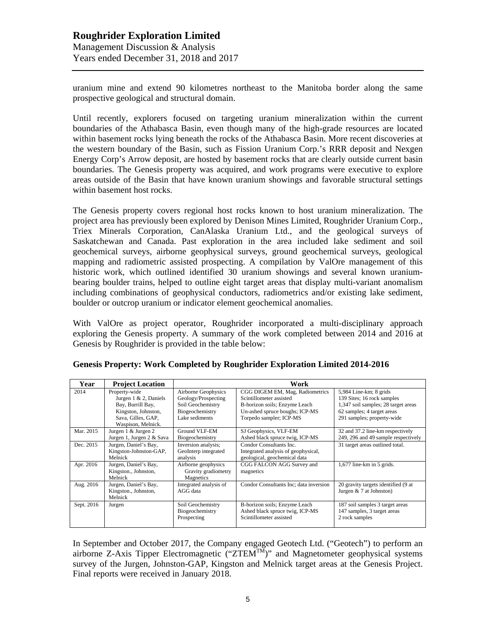uranium mine and extend 90 kilometres northeast to the Manitoba border along the same prospective geological and structural domain.

Until recently, explorers focused on targeting uranium mineralization within the current boundaries of the Athabasca Basin, even though many of the high-grade resources are located within basement rocks lying beneath the rocks of the Athabasca Basin. More recent discoveries at the western boundary of the Basin, such as Fission Uranium Corp.'s RRR deposit and Nexgen Energy Corp's Arrow deposit, are hosted by basement rocks that are clearly outside current basin boundaries. The Genesis property was acquired, and work programs were executive to explore areas outside of the Basin that have known uranium showings and favorable structural settings within basement host rocks.

The Genesis property covers regional host rocks known to host uranium mineralization. The project area has previously been explored by Denison Mines Limited, Roughrider Uranium Corp., Triex Minerals Corporation, CanAlaska Uranium Ltd., and the geological surveys of Saskatchewan and Canada. Past exploration in the area included lake sediment and soil geochemical surveys, airborne geophysical surveys, ground geochemical surveys, geological mapping and radiometric assisted prospecting. A compilation by ValOre management of this historic work, which outlined identified 30 uranium showings and several known uraniumbearing boulder trains, helped to outline eight target areas that display multi-variant anomalism including combinations of geophysical conductors, radiometrics and/or existing lake sediment, boulder or outcrop uranium or indicator element geochemical anomalies.

With ValOre as project operator, Roughrider incorporated a multi-disciplinary approach exploring the Genesis property. A summary of the work completed between 2014 and 2016 at Genesis by Roughrider is provided in the table below:

| Year       | <b>Project Location</b>                                                                                                            | Work                                                                                                 |                                                                                                                                                          |                                                                                                                                                         |  |
|------------|------------------------------------------------------------------------------------------------------------------------------------|------------------------------------------------------------------------------------------------------|----------------------------------------------------------------------------------------------------------------------------------------------------------|---------------------------------------------------------------------------------------------------------------------------------------------------------|--|
| 2014       | Property-wide<br>Jurgen $1 \& 2$ , Daniels<br>Bay, Burrill Bay,<br>Kingston, Johnston,<br>Sava, Gilles, GAP,<br>Waspison, Melnick. | Airborne Geophysics<br>Geology/Prospecting<br>Soil Geochemistry<br>Biogeochemistry<br>Lake sediments | CGG DIGEM EM, Mag, Radiometrics<br>Scintillometer assisted<br>B-horizon soils; Enzyme Leach<br>Un-ashed spruce boughs; ICP-MS<br>Torpedo sampler; ICP-MS | 5,984 Line-km; 8 grids<br>139 Sites; 16 rock samples<br>1,347 soil samples; 28 target areas<br>62 samples; 4 target areas<br>291 samples; property-wide |  |
| Mar. 2015  | Jurgen 1 & Jurgen 2<br>Jurgen 1, Jurgen 2 & Sava                                                                                   | Ground VLF-EM<br>Biogeochemistry                                                                     | SJ Geophysics, VLF-EM<br>Ashed black spruce twig, ICP-MS                                                                                                 | 32 and 37.2 line-km respectively<br>249, 296 and 49 sample respectively                                                                                 |  |
| Dec. 2015  | Jurgen, Daniel's Bay,<br>Kingston-Johnston-GAP,<br>Melnick                                                                         | Inversion analysis;<br>GeoInterp integrated<br>analysis                                              | Condor Consultants Inc.<br>Integrated analysis of geophysical,<br>geological, geochemical data                                                           | 31 target areas outlined total.                                                                                                                         |  |
| Apr. 2016  | Jurgen, Daniel's Bay,<br>Kingston., Johnston,<br>Melnick                                                                           | Airborne geophysics<br>Gravity gradiometry<br>Magnetics                                              | CGG FALCON AGG Survey and<br>magnetics                                                                                                                   | $1,677$ line-km in 5 grids.                                                                                                                             |  |
| Aug. 2016  | Jurgen, Daniel's Bay,<br>Kingston., Johnston,<br>Melnick                                                                           | Integrated analysis of<br>AGG data                                                                   | Condor Consultants Inc; data inversion                                                                                                                   | 20 gravity targets identified (9 at<br>Jurgen $& 7$ at Johnston)                                                                                        |  |
| Sept. 2016 | Jurgen                                                                                                                             | Soil Geochemistry<br>Biogeochemistry<br>Prospecting                                                  | B-horizon soils; Enzyme Leach<br>Ashed black spruce twig, ICP-MS<br>Scintillometer assisted                                                              | 187 soil samples 3 target areas<br>147 samples, 3 target areas<br>2 rock samples                                                                        |  |

| Genesis Property: Work Completed by Roughrider Exploration Limited 2014-2016 |  |  |  |
|------------------------------------------------------------------------------|--|--|--|
|                                                                              |  |  |  |

In September and October 2017, the Company engaged Geotech Ltd. ("Geotech") to perform an airborne Z-Axis Tipper Electromagnetic  $(TZTEM^{TM})$ " and Magnetometer geophysical systems survey of the Jurgen, Johnston-GAP, Kingston and Melnick target areas at the Genesis Project. Final reports were received in January 2018.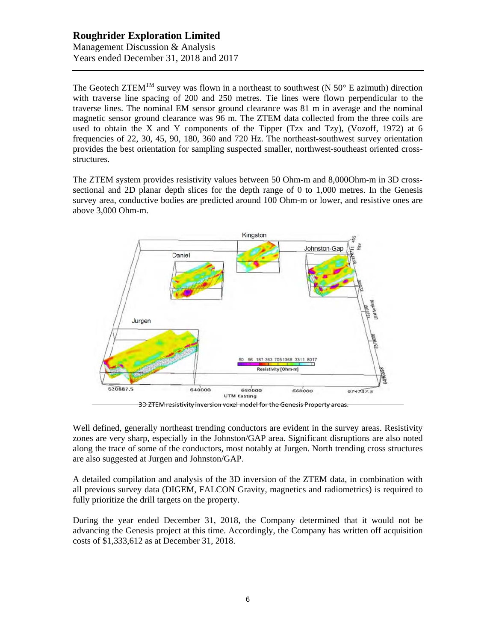The Geotech ZTEM<sup>TM</sup> survey was flown in a northeast to southwest (N  $50^{\circ}$  E azimuth) direction with traverse line spacing of 200 and 250 metres. Tie lines were flown perpendicular to the traverse lines. The nominal EM sensor ground clearance was 81 m in average and the nominal magnetic sensor ground clearance was 96 m. The ZTEM data collected from the three coils are used to obtain the X and Y components of the Tipper (Tzx and Tzy), (Vozoff, 1972) at 6 frequencies of 22, 30, 45, 90, 180, 360 and 720 Hz. The northeast-southwest survey orientation provides the best orientation for sampling suspected smaller, northwest-southeast oriented crossstructures.

The ZTEM system provides resistivity values between 50 Ohm-m and 8,000Ohm-m in 3D crosssectional and 2D planar depth slices for the depth range of 0 to 1,000 metres. In the Genesis survey area, conductive bodies are predicted around 100 Ohm-m or lower, and resistive ones are above 3,000 Ohm-m.



3D ZTEM resistivity inversion voxel model for the Genesis Property areas.

Well defined, generally northeast trending conductors are evident in the survey areas. Resistivity zones are very sharp, especially in the Johnston/GAP area. Significant disruptions are also noted along the trace of some of the conductors, most notably at Jurgen. North trending cross structures are also suggested at Jurgen and Johnston/GAP.

A detailed compilation and analysis of the 3D inversion of the ZTEM data, in combination with all previous survey data (DIGEM, FALCON Gravity, magnetics and radiometrics) is required to fully prioritize the drill targets on the property.

During the year ended December 31, 2018, the Company determined that it would not be advancing the Genesis project at this time. Accordingly, the Company has written off acquisition costs of \$1,333,612 as at December 31, 2018.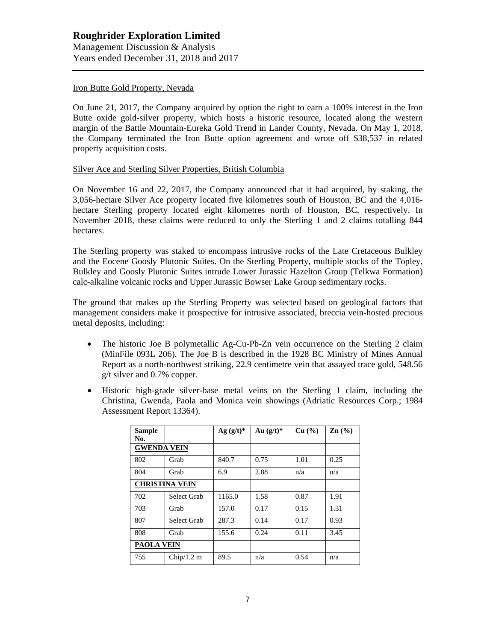### Iron Butte Gold Property, Nevada

On June 21, 2017, the Company acquired by option the right to earn a 100% interest in the Iron Butte oxide gold-silver property, which hosts a historic resource, located along the western margin of the Battle Mountain-Eureka Gold Trend in Lander County, Nevada. On May 1, 2018, the Company terminated the Iron Butte option agreement and wrote off \$38,537 in related property acquisition costs.

#### Silver Ace and Sterling Silver Properties, British Columbia

On November 16 and 22, 2017, the Company announced that it had acquired, by staking, the 3,056-hectare Silver Ace property located five kilometres south of Houston, BC and the 4,016 hectare Sterling property located eight kilometres north of Houston, BC, respectively. In November 2018, these claims were reduced to only the Sterling 1 and 2 claims totalling 844 hectares.

The Sterling property was staked to encompass intrusive rocks of the Late Cretaceous Bulkley and the Eocene Goosly Plutonic Suites. On the Sterling Property, multiple stocks of the Topley, Bulkley and Goosly Plutonic Suites intrude Lower Jurassic Hazelton Group (Telkwa Formation) calc-alkaline volcanic rocks and Upper Jurassic Bowser Lake Group sedimentary rocks.

The ground that makes up the Sterling Property was selected based on geological factors that management considers make it prospective for intrusive associated, breccia vein-hosted precious metal deposits, including:

- The historic Joe B polymetallic Ag-Cu-Pb-Zn vein occurrence on the Sterling 2 claim (MinFile 093L 206). The Joe B is described in the 1928 BC Ministry of Mines Annual Report as a north-northwest striking, 22.9 centimetre vein that assayed trace gold, 548.56 g/t silver and 0.7% copper.
- Historic high-grade silver-base metal veins on the Sterling 1 claim, including the Christina, Gwenda, Paola and Monica vein showings (Adriatic Resources Corp.; 1984 Assessment Report 13364).

| Sample<br>No.         |                   | $Ag (g/t)*$ | Au $(g/t)^*$ | Cu (%) | $\text{Zn}$ (%) |
|-----------------------|-------------------|-------------|--------------|--------|-----------------|
| <b>GWENDA VEIN</b>    |                   |             |              |        |                 |
| 802                   | Grab              | 840.7       | 0.75         | 1.01   | 0.25            |
| 804                   | Grab              | 6.9         | 2.88         | n/a    | n/a             |
| <b>CHRISTINA VEIN</b> |                   |             |              |        |                 |
| 702                   | Select Grab       | 1165.0      | 1.58         | 0.87   | 1.91            |
| 703                   | Grab              | 157.0       | 0.17         | 0.15   | 1.31            |
| 807                   | Select Grab       | 287.3       | 0.14         | 0.17   | 0.93            |
| 808                   | Grab              | 155.6       | 0.24         | 0.11   | 3.45            |
|                       | <b>PAOLA VEIN</b> |             |              |        |                 |
| 755                   | Chip/1.2 m        | 89.5        | n/a          | 0.54   | n/a             |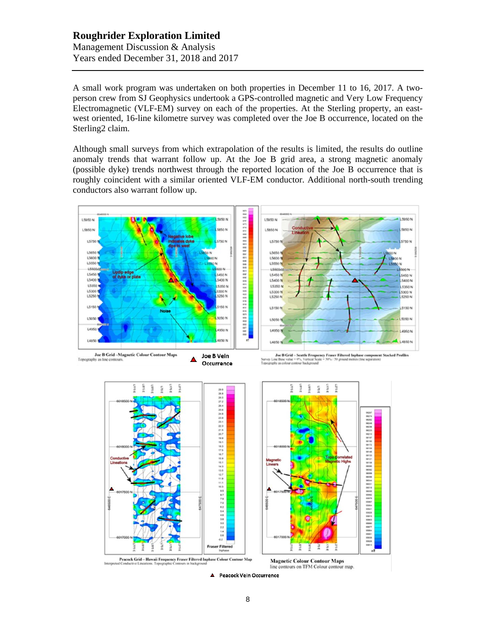A small work program was undertaken on both properties in December 11 to 16, 2017. A twoperson crew from SJ Geophysics undertook a GPS-controlled magnetic and Very Low Frequency Electromagnetic (VLF-EM) survey on each of the properties. At the Sterling property, an eastwest oriented, 16-line kilometre survey was completed over the Joe B occurrence, located on the Sterling2 claim.

Although small surveys from which extrapolation of the results is limited, the results do outline anomaly trends that warrant follow up. At the Joe B grid area, a strong magnetic anomaly (possible dyke) trends northwest through the reported location of the Joe B occurrence that is roughly coincident with a similar oriented VLF-EM conductor. Additional north-south trending conductors also warrant follow up.



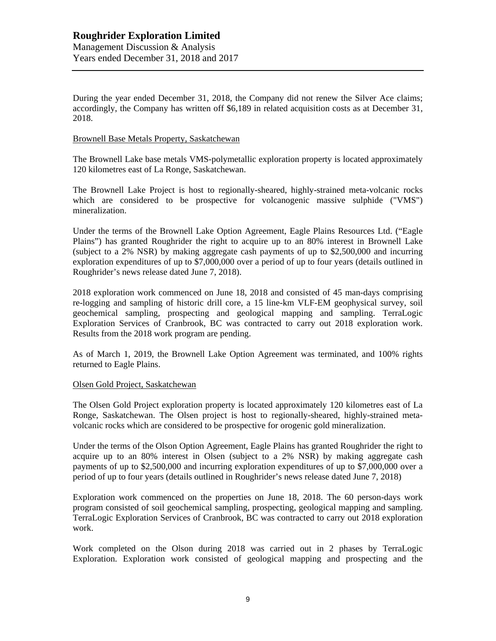During the year ended December 31, 2018, the Company did not renew the Silver Ace claims; accordingly, the Company has written off \$6,189 in related acquisition costs as at December 31, 2018.

## Brownell Base Metals Property, Saskatchewan

The Brownell Lake base metals VMS-polymetallic exploration property is located approximately 120 kilometres east of La Ronge, Saskatchewan.

The Brownell Lake Project is host to regionally-sheared, highly-strained meta-volcanic rocks which are considered to be prospective for volcanogenic massive sulphide ("VMS") mineralization.

Under the terms of the Brownell Lake Option Agreement, Eagle Plains Resources Ltd. ("Eagle Plains") has granted Roughrider the right to acquire up to an 80% interest in Brownell Lake (subject to a 2% NSR) by making aggregate cash payments of up to \$2,500,000 and incurring exploration expenditures of up to \$7,000,000 over a period of up to four years (details outlined in Roughrider's news release dated June 7, 2018).

2018 exploration work commenced on June 18, 2018 and consisted of 45 man-days comprising re-logging and sampling of historic drill core, a 15 line-km VLF-EM geophysical survey, soil geochemical sampling, prospecting and geological mapping and sampling. TerraLogic Exploration Services of Cranbrook, BC was contracted to carry out 2018 exploration work. Results from the 2018 work program are pending.

As of March 1, 2019, the Brownell Lake Option Agreement was terminated, and 100% rights returned to Eagle Plains.

## Olsen Gold Project, Saskatchewan

The Olsen Gold Project exploration property is located approximately 120 kilometres east of La Ronge, Saskatchewan. The Olsen project is host to regionally-sheared, highly-strained metavolcanic rocks which are considered to be prospective for orogenic gold mineralization.

Under the terms of the Olson Option Agreement, Eagle Plains has granted Roughrider the right to acquire up to an 80% interest in Olsen (subject to a 2% NSR) by making aggregate cash payments of up to \$2,500,000 and incurring exploration expenditures of up to \$7,000,000 over a period of up to four years (details outlined in Roughrider's news release dated June 7, 2018)

Exploration work commenced on the properties on June 18, 2018. The 60 person-days work program consisted of soil geochemical sampling, prospecting, geological mapping and sampling. TerraLogic Exploration Services of Cranbrook, BC was contracted to carry out 2018 exploration work.

Work completed on the Olson during 2018 was carried out in 2 phases by TerraLogic Exploration. Exploration work consisted of geological mapping and prospecting and the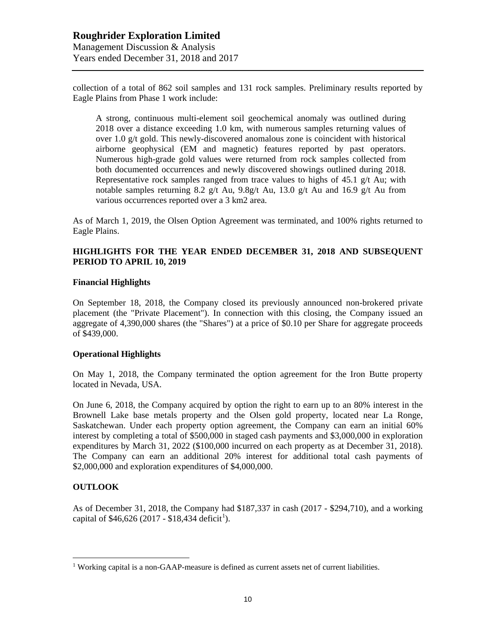collection of a total of 862 soil samples and 131 rock samples. Preliminary results reported by Eagle Plains from Phase 1 work include:

A strong, continuous multi-element soil geochemical anomaly was outlined during 2018 over a distance exceeding 1.0 km, with numerous samples returning values of over 1.0 g/t gold. This newly-discovered anomalous zone is coincident with historical airborne geophysical (EM and magnetic) features reported by past operators. Numerous high-grade gold values were returned from rock samples collected from both documented occurrences and newly discovered showings outlined during 2018. Representative rock samples ranged from trace values to highs of 45.1  $g/t$  Au; with notable samples returning 8.2 g/t Au, 9.8g/t Au, 13.0 g/t Au and 16.9 g/t Au from various occurrences reported over a 3 km2 area.

As of March 1, 2019, the Olsen Option Agreement was terminated, and 100% rights returned to Eagle Plains.

## **HIGHLIGHTS FOR THE YEAR ENDED DECEMBER 31, 2018 AND SUBSEQUENT PERIOD TO APRIL 10, 2019**

#### **Financial Highlights**

On September 18, 2018, the Company closed its previously announced non-brokered private placement (the "Private Placement"). In connection with this closing, the Company issued an aggregate of 4,390,000 shares (the "Shares") at a price of \$0.10 per Share for aggregate proceeds of \$439,000.

## **Operational Highlights**

On May 1, 2018, the Company terminated the option agreement for the Iron Butte property located in Nevada, USA.

On June 6, 2018, the Company acquired by option the right to earn up to an 80% interest in the Brownell Lake base metals property and the Olsen gold property, located near La Ronge, Saskatchewan. Under each property option agreement, the Company can earn an initial 60% interest by completing a total of \$500,000 in staged cash payments and \$3,000,000 in exploration expenditures by March 31, 2022 (\$100,000 incurred on each property as at December 31, 2018). The Company can earn an additional 20% interest for additional total cash payments of \$2,000,000 and exploration expenditures of \$4,000,000.

## **OUTLOOK**

As of December 31, 2018, the Company had \$187,337 in cash (2017 - \$294,710), and a working capital of \$46,626 (20[1](#page-9-0)7 - \$18,434 deficit<sup>1</sup>).

<span id="page-9-0"></span><sup>&</sup>lt;sup>1</sup> Working capital is a non-GAAP-measure is defined as current assets net of current liabilities.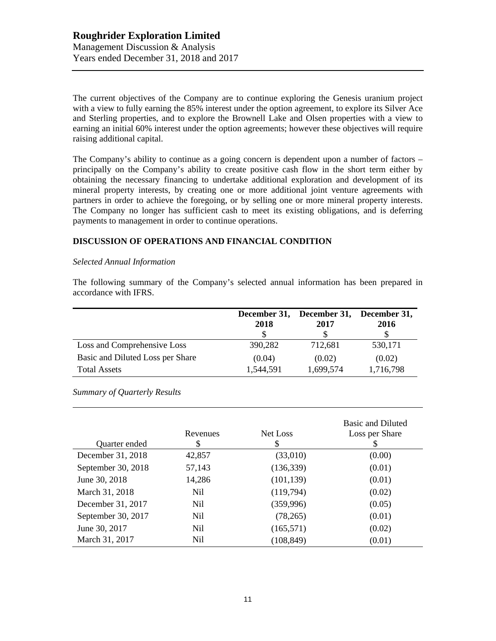The current objectives of the Company are to continue exploring the Genesis uranium project with a view to fully earning the 85% interest under the option agreement, to explore its Silver Ace and Sterling properties, and to explore the Brownell Lake and Olsen properties with a view to earning an initial 60% interest under the option agreements; however these objectives will require raising additional capital.

The Company's ability to continue as a going concern is dependent upon a number of factors – principally on the Company's ability to create positive cash flow in the short term either by obtaining the necessary financing to undertake additional exploration and development of its mineral property interests, by creating one or more additional joint venture agreements with partners in order to achieve the foregoing, or by selling one or more mineral property interests. The Company no longer has sufficient cash to meet its existing obligations, and is deferring payments to management in order to continue operations.

## **DISCUSSION OF OPERATIONS AND FINANCIAL CONDITION**

#### *Selected Annual Information*

The following summary of the Company's selected annual information has been prepared in accordance with IFRS.

|                                  | December 31,<br>2018 | December 31,<br>2017 | December 31,<br>2016 |
|----------------------------------|----------------------|----------------------|----------------------|
| Loss and Comprehensive Loss      | 390,282              | 712,681              | 530,171              |
| Basic and Diluted Loss per Share | (0.04)               | (0.02)               | (0.02)               |
| <b>Total Assets</b>              | 1,544,591            | 1,699,574            | 1,716,798            |

*Summary of Quarterly Results*

| Quarter ended      | Revenues<br>\$ | Net Loss<br>S | <b>Basic and Diluted</b><br>Loss per Share |
|--------------------|----------------|---------------|--------------------------------------------|
| December 31, 2018  | 42,857         | (33,010)      | (0.00)                                     |
| September 30, 2018 | 57,143         | (136, 339)    | (0.01)                                     |
| June 30, 2018      | 14,286         | (101, 139)    | (0.01)                                     |
| March 31, 2018     | Nil            | (119,794)     | (0.02)                                     |
| December 31, 2017  | Nil.           | (359, 996)    | (0.05)                                     |
| September 30, 2017 | Nil            | (78,265)      | (0.01)                                     |
| June 30, 2017      | Nil            | (165, 571)    | (0.02)                                     |
| March 31, 2017     | Nil            | (108, 849)    | (0.01)                                     |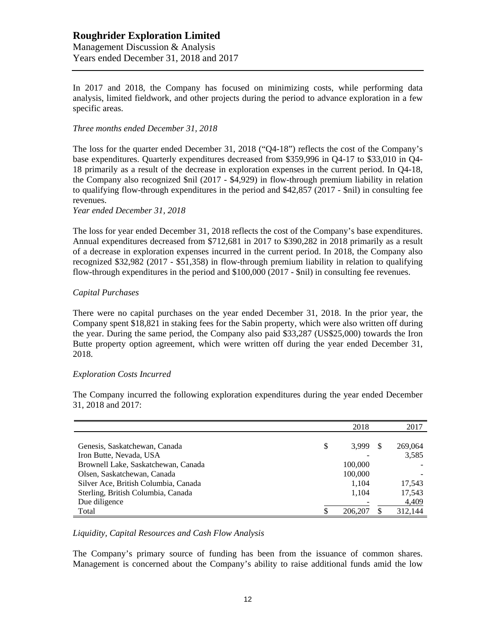In 2017 and 2018, the Company has focused on minimizing costs, while performing data analysis, limited fieldwork, and other projects during the period to advance exploration in a few specific areas.

## *Three months ended December 31, 2018*

The loss for the quarter ended December 31, 2018 ("Q4-18") reflects the cost of the Company's base expenditures. Quarterly expenditures decreased from \$359,996 in Q4-17 to \$33,010 in Q4- 18 primarily as a result of the decrease in exploration expenses in the current period. In Q4-18, the Company also recognized \$nil (2017 - \$4,929) in flow-through premium liability in relation to qualifying flow-through expenditures in the period and \$42,857 (2017 - \$nil) in consulting fee revenues.

*Year ended December 31, 2018*

The loss for year ended December 31, 2018 reflects the cost of the Company's base expenditures. Annual expenditures decreased from \$712,681 in 2017 to \$390,282 in 2018 primarily as a result of a decrease in exploration expenses incurred in the current period. In 2018, the Company also recognized \$32,982 (2017 - \$51,358) in flow-through premium liability in relation to qualifying flow-through expenditures in the period and \$100,000 (2017 - \$nil) in consulting fee revenues.

## *Capital Purchases*

There were no capital purchases on the year ended December 31, 2018. In the prior year, the Company spent \$18,821 in staking fees for the Sabin property, which were also written off during the year. During the same period, the Company also paid \$33,287 (US\$25,000) towards the Iron Butte property option agreement, which were written off during the year ended December 31, 2018.

## *Exploration Costs Incurred*

31, 2018 and 2017: 2018 2017

The Company incurred the following exploration expenditures during the year ended December

|                                      | 2018        | 2017    |
|--------------------------------------|-------------|---------|
|                                      |             |         |
| Genesis, Saskatchewan, Canada        | \$<br>3.999 | 269,064 |
| Iron Butte, Nevada, USA              |             | 3,585   |
| Brownell Lake, Saskatchewan, Canada  | 100,000     |         |
| Olsen, Saskatchewan, Canada          | 100,000     |         |
| Silver Ace, British Columbia, Canada | 1.104       | 17,543  |
| Sterling, British Columbia, Canada   | 1,104       | 17,543  |
| Due diligence                        |             | 4,409   |
| Total                                | 206,207     | 312,144 |

*Liquidity, Capital Resources and Cash Flow Analysis*

The Company's primary source of funding has been from the issuance of common shares. Management is concerned about the Company's ability to raise additional funds amid the low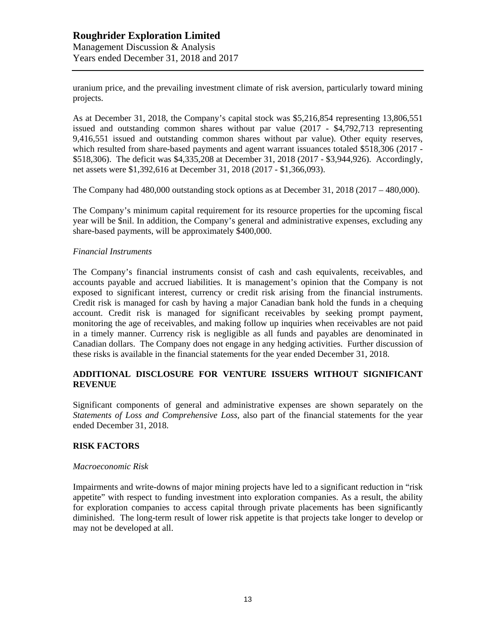uranium price, and the prevailing investment climate of risk aversion, particularly toward mining projects.

As at December 31, 2018, the Company's capital stock was \$5,216,854 representing 13,806,551 issued and outstanding common shares without par value (2017 - \$4,792,713 representing 9,416,551 issued and outstanding common shares without par value). Other equity reserves, which resulted from share-based payments and agent warrant issuances totaled \$518,306 (2017 -\$518,306). The deficit was \$4,335,208 at December 31, 2018 (2017 - \$3,944,926). Accordingly, net assets were \$1,392,616 at December 31, 2018 (2017 - \$1,366,093).

The Company had 480,000 outstanding stock options as at December 31, 2018 (2017 – 480,000).

The Company's minimum capital requirement for its resource properties for the upcoming fiscal year will be \$nil. In addition, the Company's general and administrative expenses, excluding any share-based payments, will be approximately \$400,000.

## *Financial Instruments*

The Company's financial instruments consist of cash and cash equivalents, receivables, and accounts payable and accrued liabilities. It is management's opinion that the Company is not exposed to significant interest, currency or credit risk arising from the financial instruments. Credit risk is managed for cash by having a major Canadian bank hold the funds in a chequing account. Credit risk is managed for significant receivables by seeking prompt payment, monitoring the age of receivables, and making follow up inquiries when receivables are not paid in a timely manner. Currency risk is negligible as all funds and payables are denominated in Canadian dollars. The Company does not engage in any hedging activities. Further discussion of these risks is available in the financial statements for the year ended December 31, 2018.

## **ADDITIONAL DISCLOSURE FOR VENTURE ISSUERS WITHOUT SIGNIFICANT REVENUE**

Significant components of general and administrative expenses are shown separately on the *Statements of Loss and Comprehensive Loss,* also part of the financial statements for the year ended December 31, 2018.

#### **RISK FACTORS**

#### *Macroeconomic Risk*

Impairments and write-downs of major mining projects have led to a significant reduction in "risk appetite" with respect to funding investment into exploration companies. As a result, the ability for exploration companies to access capital through private placements has been significantly diminished. The long-term result of lower risk appetite is that projects take longer to develop or may not be developed at all.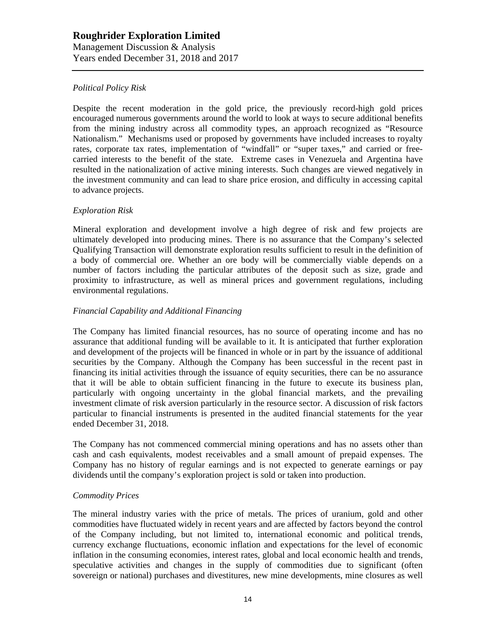## *Political Policy Risk*

Despite the recent moderation in the gold price, the previously record-high gold prices encouraged numerous governments around the world to look at ways to secure additional benefits from the mining industry across all commodity types, an approach recognized as "Resource Nationalism." Mechanisms used or proposed by governments have included increases to royalty rates, corporate tax rates, implementation of "windfall" or "super taxes," and carried or freecarried interests to the benefit of the state. Extreme cases in Venezuela and Argentina have resulted in the nationalization of active mining interests. Such changes are viewed negatively in the investment community and can lead to share price erosion, and difficulty in accessing capital to advance projects.

## *Exploration Risk*

Mineral exploration and development involve a high degree of risk and few projects are ultimately developed into producing mines. There is no assurance that the Company's selected Qualifying Transaction will demonstrate exploration results sufficient to result in the definition of a body of commercial ore. Whether an ore body will be commercially viable depends on a number of factors including the particular attributes of the deposit such as size, grade and proximity to infrastructure, as well as mineral prices and government regulations, including environmental regulations.

## *Financial Capability and Additional Financing*

The Company has limited financial resources, has no source of operating income and has no assurance that additional funding will be available to it. It is anticipated that further exploration and development of the projects will be financed in whole or in part by the issuance of additional securities by the Company. Although the Company has been successful in the recent past in financing its initial activities through the issuance of equity securities, there can be no assurance that it will be able to obtain sufficient financing in the future to execute its business plan, particularly with ongoing uncertainty in the global financial markets, and the prevailing investment climate of risk aversion particularly in the resource sector. A discussion of risk factors particular to financial instruments is presented in the audited financial statements for the year ended December 31, 2018.

The Company has not commenced commercial mining operations and has no assets other than cash and cash equivalents, modest receivables and a small amount of prepaid expenses. The Company has no history of regular earnings and is not expected to generate earnings or pay dividends until the company's exploration project is sold or taken into production.

## *Commodity Prices*

The mineral industry varies with the price of metals. The prices of uranium, gold and other commodities have fluctuated widely in recent years and are affected by factors beyond the control of the Company including, but not limited to, international economic and political trends, currency exchange fluctuations, economic inflation and expectations for the level of economic inflation in the consuming economies, interest rates, global and local economic health and trends, speculative activities and changes in the supply of commodities due to significant (often sovereign or national) purchases and divestitures, new mine developments, mine closures as well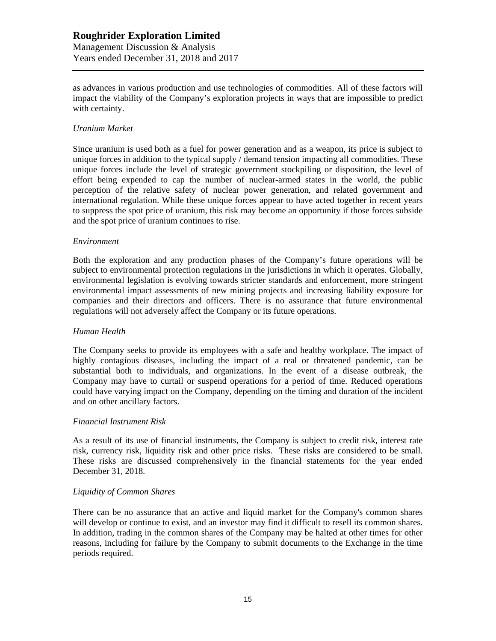as advances in various production and use technologies of commodities. All of these factors will impact the viability of the Company's exploration projects in ways that are impossible to predict with certainty.

## *Uranium Market*

Since uranium is used both as a fuel for power generation and as a weapon, its price is subject to unique forces in addition to the typical supply / demand tension impacting all commodities. These unique forces include the level of strategic government stockpiling or disposition, the level of effort being expended to cap the number of nuclear-armed states in the world, the public perception of the relative safety of nuclear power generation, and related government and international regulation. While these unique forces appear to have acted together in recent years to suppress the spot price of uranium, this risk may become an opportunity if those forces subside and the spot price of uranium continues to rise.

#### *Environment*

Both the exploration and any production phases of the Company's future operations will be subject to environmental protection regulations in the jurisdictions in which it operates. Globally, environmental legislation is evolving towards stricter standards and enforcement, more stringent environmental impact assessments of new mining projects and increasing liability exposure for companies and their directors and officers. There is no assurance that future environmental regulations will not adversely affect the Company or its future operations.

## *Human Health*

The Company seeks to provide its employees with a safe and healthy workplace. The impact of highly contagious diseases, including the impact of a real or threatened pandemic, can be substantial both to individuals, and organizations. In the event of a disease outbreak, the Company may have to curtail or suspend operations for a period of time. Reduced operations could have varying impact on the Company, depending on the timing and duration of the incident and on other ancillary factors.

## *Financial Instrument Risk*

As a result of its use of financial instruments, the Company is subject to credit risk, interest rate risk, currency risk, liquidity risk and other price risks. These risks are considered to be small. These risks are discussed comprehensively in the financial statements for the year ended December 31, 2018.

## *Liquidity of Common Shares*

There can be no assurance that an active and liquid market for the Company's common shares will develop or continue to exist, and an investor may find it difficult to resell its common shares. In addition, trading in the common shares of the Company may be halted at other times for other reasons, including for failure by the Company to submit documents to the Exchange in the time periods required.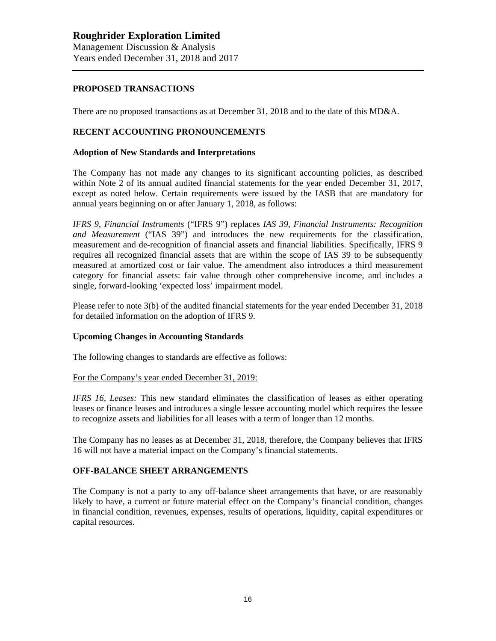## **PROPOSED TRANSACTIONS**

There are no proposed transactions as at December 31, 2018 and to the date of this MD&A.

### **RECENT ACCOUNTING PRONOUNCEMENTS**

#### **Adoption of New Standards and Interpretations**

The Company has not made any changes to its significant accounting policies, as described within Note 2 of its annual audited financial statements for the year ended December 31, 2017, except as noted below. Certain requirements were issued by the IASB that are mandatory for annual years beginning on or after January 1, 2018, as follows:

*IFRS 9, Financial Instruments* ("IFRS 9") replaces *IAS 39, Financial Instruments: Recognition and Measurement* ("IAS 39") and introduces the new requirements for the classification, measurement and de-recognition of financial assets and financial liabilities. Specifically, IFRS 9 requires all recognized financial assets that are within the scope of IAS 39 to be subsequently measured at amortized cost or fair value. The amendment also introduces a third measurement category for financial assets: fair value through other comprehensive income, and includes a single, forward-looking 'expected loss' impairment model.

Please refer to note 3(b) of the audited financial statements for the year ended December 31, 2018 for detailed information on the adoption of IFRS 9.

#### **Upcoming Changes in Accounting Standards**

The following changes to standards are effective as follows:

#### For the Company's year ended December 31, 2019:

*IFRS 16, Leases:* This new standard eliminates the classification of leases as either operating leases or finance leases and introduces a single lessee accounting model which requires the lessee to recognize assets and liabilities for all leases with a term of longer than 12 months.

The Company has no leases as at December 31, 2018, therefore, the Company believes that IFRS 16 will not have a material impact on the Company's financial statements.

#### **OFF-BALANCE SHEET ARRANGEMENTS**

The Company is not a party to any off-balance sheet arrangements that have, or are reasonably likely to have, a current or future material effect on the Company's financial condition, changes in financial condition, revenues, expenses, results of operations, liquidity, capital expenditures or capital resources.